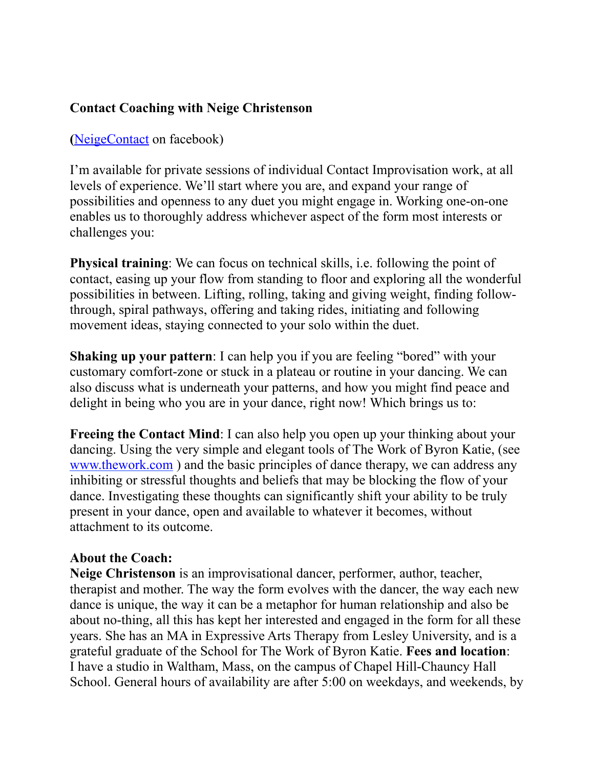## **Contact Coaching with Neige Christenson**

**(**[NeigeContact](https://www.facebook.com/NeigeContact) on facebook)

I'm available for private sessions of individual Contact Improvisation work, at all levels of experience. We'll start where you are, and expand your range of possibilities and openness to any duet you might engage in. Working one-on-one enables us to thoroughly address whichever aspect of the form most interests or challenges you:

**Physical training**: We can focus on technical skills, i.e. following the point of contact, easing up your flow from standing to floor and exploring all the wonderful possibilities in between. Lifting, rolling, taking and giving weight, finding followthrough, spiral pathways, offering and taking rides, initiating and following movement ideas, staying connected to your solo within the duet.

**Shaking up your pattern**: I can help you if you are feeling "bored" with your customary comfort-zone or stuck in a plateau or routine in your dancing. We can also discuss what is underneath your patterns, and how you might find peace and delight in being who you are in your dance, right now! Which brings us to:

**Freeing the Contact Mind**: I can also help you open up your thinking about your dancing. Using the very simple and elegant tools of The Work of Byron Katie, (see [www.thework.com](http://www.thework.com)) and the basic principles of dance therapy, we can address any inhibiting or stressful thoughts and beliefs that may be blocking the flow of your dance. Investigating these thoughts can significantly shift your ability to be truly present in your dance, open and available to whatever it becomes, without attachment to its outcome.

## **About the Coach:**

**Neige Christenson** is an improvisational dancer, performer, author, teacher, therapist and mother. The way the form evolves with the dancer, the way each new dance is unique, the way it can be a metaphor for human relationship and also be about no-thing, all this has kept her interested and engaged in the form for all these years. She has an MA in Expressive Arts Therapy from Lesley University, and is a grateful graduate of the School for The Work of Byron Katie. **Fees and location**: I have a studio in Waltham, Mass, on the campus of Chapel Hill-Chauncy Hall School. General hours of availability are after 5:00 on weekdays, and weekends, by